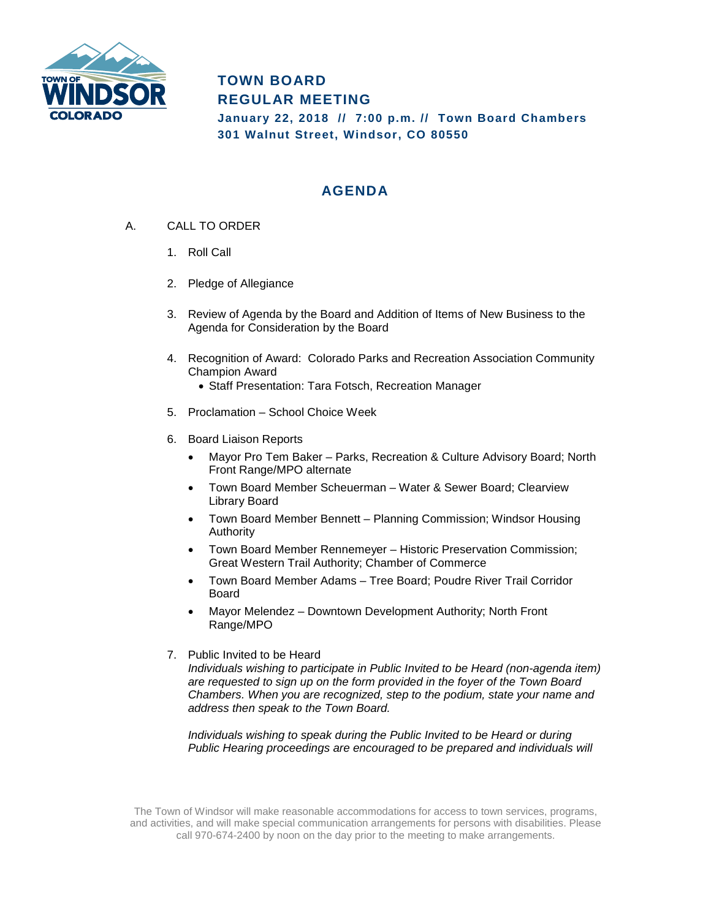

## **TOWN BOARD REGULAR MEETING**

**January 22, 2018 // 7:00 p.m. // Town Board Chambers 301 Walnut Street, Windsor, CO 80550**

## **AGENDA**

- A. CALL TO ORDER
	- 1. Roll Call
	- 2. Pledge of Allegiance
	- 3. Review of Agenda by the Board and Addition of Items of New Business to the Agenda for Consideration by the Board
	- 4. Recognition of Award: Colorado Parks and Recreation Association Community Champion Award
		- Staff Presentation: Tara Fotsch, Recreation Manager
	- 5. Proclamation School Choice Week
	- 6. Board Liaison Reports
		- Mayor Pro Tem Baker Parks, Recreation & Culture Advisory Board; North Front Range/MPO alternate
		- Town Board Member Scheuerman Water & Sewer Board; Clearview Library Board
		- Town Board Member Bennett Planning Commission; Windsor Housing Authority
		- Town Board Member Rennemeyer Historic Preservation Commission; Great Western Trail Authority; Chamber of Commerce
		- Town Board Member Adams Tree Board; Poudre River Trail Corridor Board
		- Mayor Melendez Downtown Development Authority; North Front Range/MPO
	- 7. Public Invited to be Heard

*Individuals wishing to participate in Public Invited to be Heard (non-agenda item) are requested to sign up on the form provided in the foyer of the Town Board Chambers. When you are recognized, step to the podium, state your name and address then speak to the Town Board.*

*Individuals wishing to speak during the Public Invited to be Heard or during Public Hearing proceedings are encouraged to be prepared and individuals will* 

The Town of Windsor will make reasonable accommodations for access to town services, programs, and activities, and will make special communication arrangements for persons with disabilities. Please call 970-674-2400 by noon on the day prior to the meeting to make arrangements.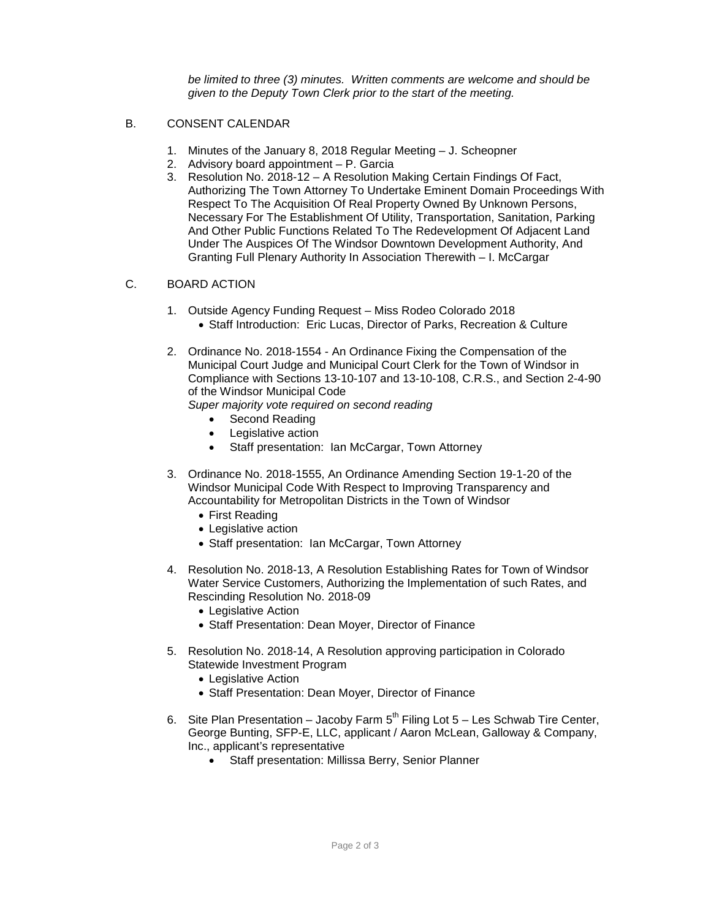*be limited to three (3) minutes. Written comments are welcome and should be given to the Deputy Town Clerk prior to the start of the meeting.* 

- B. CONSENT CALENDAR
	- 1. Minutes of the January 8, 2018 Regular Meeting J. Scheopner
	- 2. Advisory board appointment P. Garcia
	- 3. Resolution No. 2018-12 A Resolution Making Certain Findings Of Fact, Authorizing The Town Attorney To Undertake Eminent Domain Proceedings With Respect To The Acquisition Of Real Property Owned By Unknown Persons, Necessary For The Establishment Of Utility, Transportation, Sanitation, Parking And Other Public Functions Related To The Redevelopment Of Adjacent Land Under The Auspices Of The Windsor Downtown Development Authority, And Granting Full Plenary Authority In Association Therewith – I. McCargar

## C. BOARD ACTION

- 1. Outside Agency Funding Request Miss Rodeo Colorado 2018 • Staff Introduction: Eric Lucas, Director of Parks, Recreation & Culture
- 2. Ordinance No. 2018-1554 An Ordinance Fixing the Compensation of the Municipal Court Judge and Municipal Court Clerk for the Town of Windsor in Compliance with Sections 13-10-107 and 13-10-108, C.R.S., and Section 2-4-90 of the Windsor Municipal Code
	- *Super majority vote required on second reading*
		- Second Reading
		- Legislative action
		- Staff presentation: Ian McCargar, Town Attorney
- 3. Ordinance No. 2018-1555, An Ordinance Amending Section 19-1-20 of the Windsor Municipal Code With Respect to Improving Transparency and Accountability for Metropolitan Districts in the Town of Windsor
	- First Reading
	- Legislative action
	- Staff presentation: Ian McCargar, Town Attorney
- 4. Resolution No. 2018-13, A Resolution Establishing Rates for Town of Windsor Water Service Customers, Authorizing the Implementation of such Rates, and Rescinding Resolution No. 2018-09
	- Legislative Action
	- Staff Presentation: Dean Moyer, Director of Finance
- 5. Resolution No. 2018-14, A Resolution approving participation in Colorado Statewide Investment Program
	- Legislative Action
	- Staff Presentation: Dean Moyer, Director of Finance
- 6. Site Plan Presentation Jacoby Farm  $5<sup>th</sup>$  Filing Lot  $5$  Les Schwab Tire Center, George Bunting, SFP-E, LLC, applicant / Aaron McLean, Galloway & Company, Inc., applicant's representative
	- Staff presentation: Millissa Berry, Senior Planner